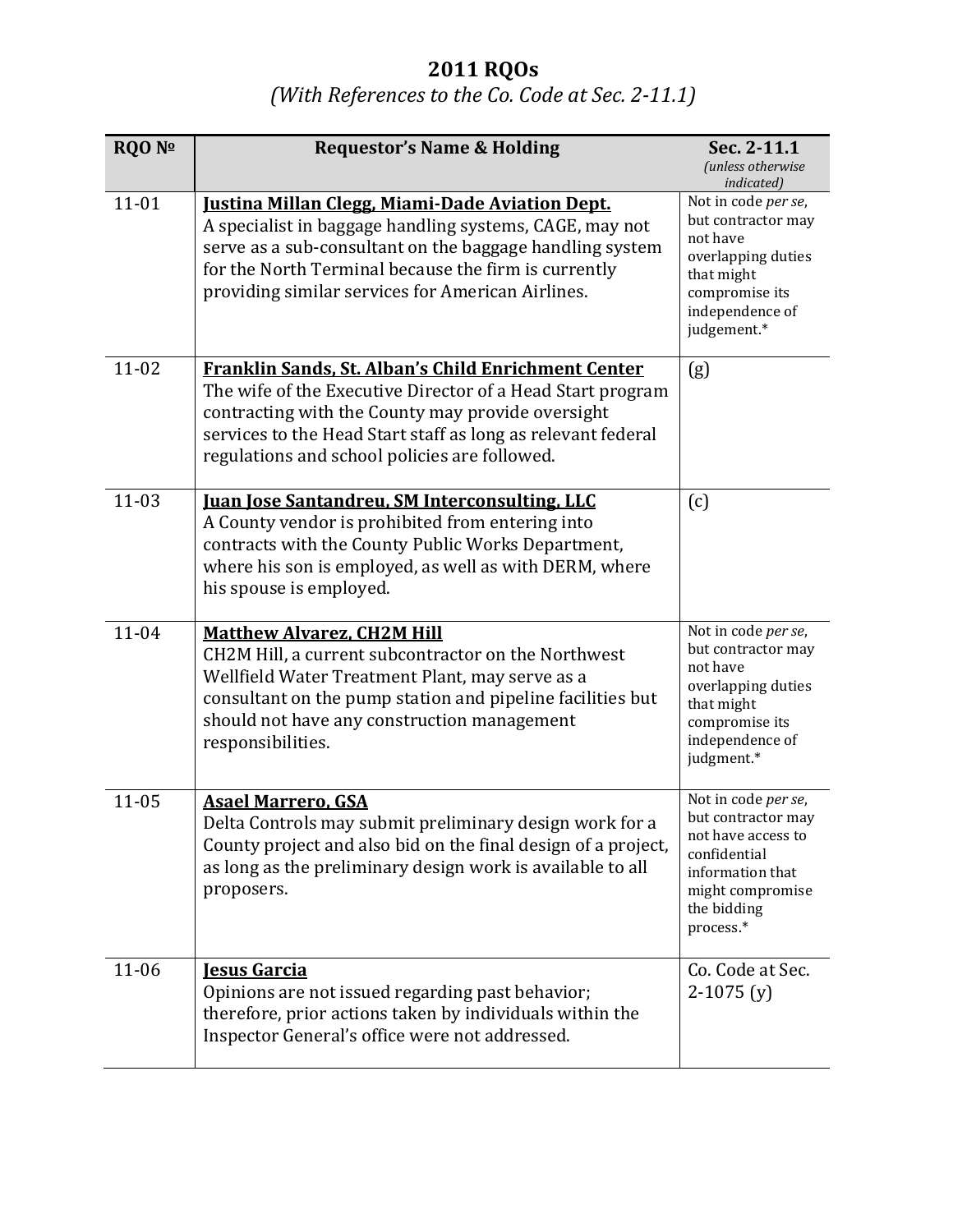## **2011 RQOs**

## *(With References to the Co. Code at Sec. 2-11.1)*

| <b>RQO Nº</b> | <b>Requestor's Name &amp; Holding</b>                                                                                                                                                                                                                                                      | Sec. 2-11.1<br>(unless otherwise                                                                                                                            |
|---------------|--------------------------------------------------------------------------------------------------------------------------------------------------------------------------------------------------------------------------------------------------------------------------------------------|-------------------------------------------------------------------------------------------------------------------------------------------------------------|
| $11 - 01$     | <b>Justina Millan Clegg, Miami-Dade Aviation Dept.</b><br>A specialist in baggage handling systems, CAGE, may not<br>serve as a sub-consultant on the baggage handling system<br>for the North Terminal because the firm is currently<br>providing similar services for American Airlines. | indicated)<br>Not in code per se,<br>but contractor may<br>not have<br>overlapping duties<br>that might<br>compromise its<br>independence of<br>judgement.* |
| $11 - 02$     | Franklin Sands, St. Alban's Child Enrichment Center<br>The wife of the Executive Director of a Head Start program<br>contracting with the County may provide oversight<br>services to the Head Start staff as long as relevant federal<br>regulations and school policies are followed.    | (g)                                                                                                                                                         |
| $11 - 03$     | <b>Juan Jose Santandreu, SM Interconsulting, LLC</b><br>A County vendor is prohibited from entering into<br>contracts with the County Public Works Department,<br>where his son is employed, as well as with DERM, where<br>his spouse is employed.                                        | (c)                                                                                                                                                         |
| $11 - 04$     | <b>Matthew Alvarez, CH2M Hill</b><br>CH2M Hill, a current subcontractor on the Northwest<br>Wellfield Water Treatment Plant, may serve as a<br>consultant on the pump station and pipeline facilities but<br>should not have any construction management<br>responsibilities.              | Not in code per se,<br>but contractor may<br>not have<br>overlapping duties<br>that might<br>compromise its<br>independence of<br>judgment.*                |
| $11 - 05$     | <b>Asael Marrero, GSA</b><br>Delta Controls may submit preliminary design work for a<br>County project and also bid on the final design of a project,<br>as long as the preliminary design work is available to all<br>proposers.                                                          | Not in code per se,<br>but contractor may<br>not have access to<br>confidential<br>information that<br>might compromise<br>the bidding<br>process.*         |
| $11 - 06$     | <b>Jesus Garcia</b><br>Opinions are not issued regarding past behavior;<br>therefore, prior actions taken by individuals within the<br>Inspector General's office were not addressed.                                                                                                      | Co. Code at Sec.<br>$2-1075(y)$                                                                                                                             |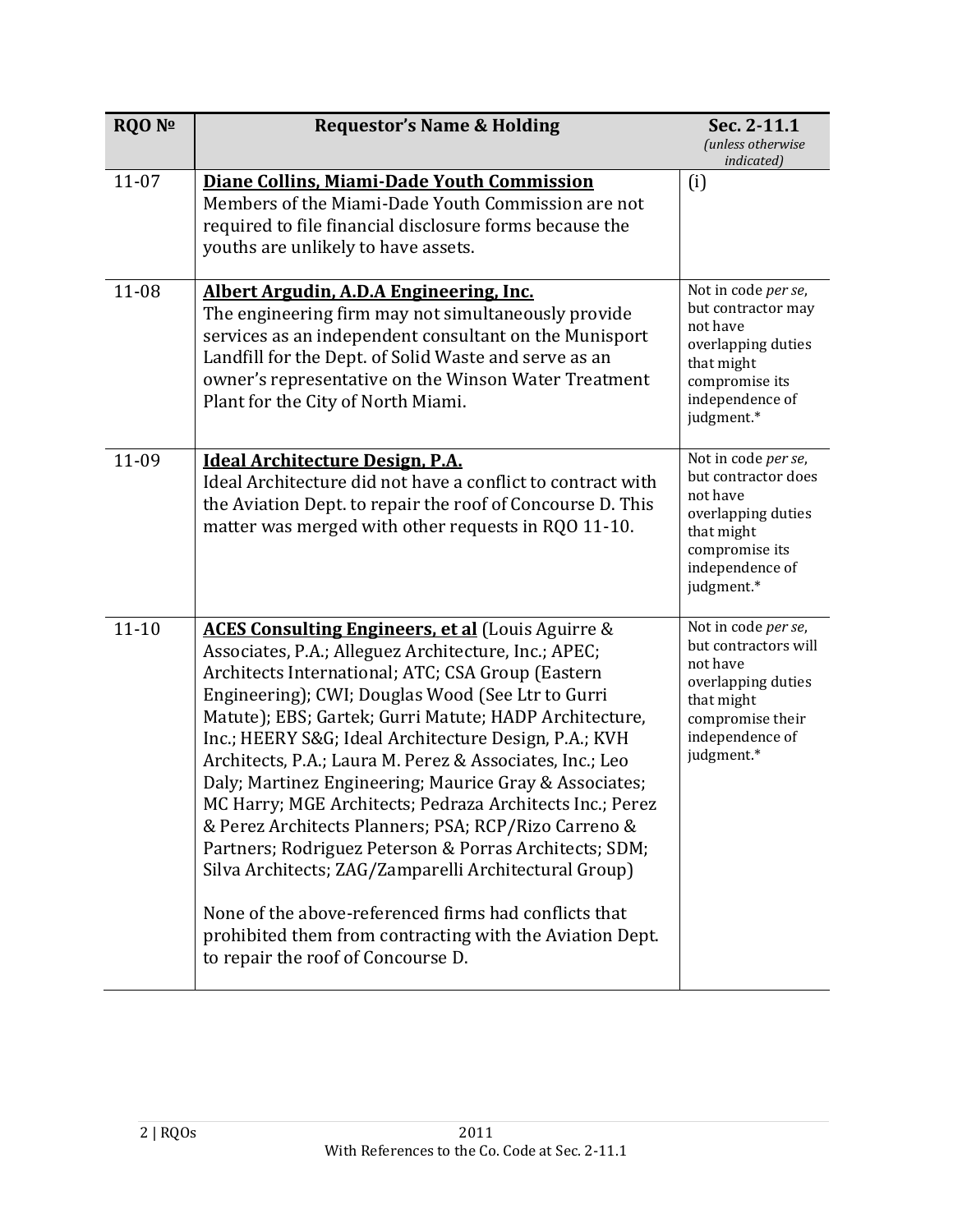| <b>RQO Nº</b> | <b>Requestor's Name &amp; Holding</b>                                                                                                                                                                                                                                                                                                                                                                                                                                                                                                                                                                                                                                                                                                                                                                                                                                | Sec. 2-11.1<br>(unless otherwise                                                                                                                 |
|---------------|----------------------------------------------------------------------------------------------------------------------------------------------------------------------------------------------------------------------------------------------------------------------------------------------------------------------------------------------------------------------------------------------------------------------------------------------------------------------------------------------------------------------------------------------------------------------------------------------------------------------------------------------------------------------------------------------------------------------------------------------------------------------------------------------------------------------------------------------------------------------|--------------------------------------------------------------------------------------------------------------------------------------------------|
| $11 - 07$     | Diane Collins, Miami-Dade Youth Commission<br>Members of the Miami-Dade Youth Commission are not<br>required to file financial disclosure forms because the<br>youths are unlikely to have assets.                                                                                                                                                                                                                                                                                                                                                                                                                                                                                                                                                                                                                                                                   | indicated)<br>(i)                                                                                                                                |
| 11-08         | Albert Argudin, A.D.A Engineering, Inc.<br>The engineering firm may not simultaneously provide<br>services as an independent consultant on the Munisport<br>Landfill for the Dept. of Solid Waste and serve as an<br>owner's representative on the Winson Water Treatment<br>Plant for the City of North Miami.                                                                                                                                                                                                                                                                                                                                                                                                                                                                                                                                                      | Not in code per se,<br>but contractor may<br>not have<br>overlapping duties<br>that might<br>compromise its<br>independence of<br>judgment.*     |
| 11-09         | <b>Ideal Architecture Design, P.A.</b><br>Ideal Architecture did not have a conflict to contract with<br>the Aviation Dept. to repair the roof of Concourse D. This<br>matter was merged with other requests in RQ0 11-10.                                                                                                                                                                                                                                                                                                                                                                                                                                                                                                                                                                                                                                           | Not in code per se,<br>but contractor does<br>not have<br>overlapping duties<br>that might<br>compromise its<br>independence of<br>judgment.*    |
| $11 - 10$     | <b>ACES Consulting Engineers, et al</b> (Louis Aguirre &<br>Associates, P.A.; Alleguez Architecture, Inc.; APEC;<br>Architects International; ATC; CSA Group (Eastern<br>Engineering); CWI; Douglas Wood (See Ltr to Gurri<br>Matute); EBS; Gartek; Gurri Matute; HADP Architecture,<br>Inc.; HEERY S&G Ideal Architecture Design, P.A.; KVH<br>Architects, P.A.; Laura M. Perez & Associates, Inc.; Leo<br>Daly; Martinez Engineering; Maurice Gray & Associates;<br>MC Harry; MGE Architects; Pedraza Architects Inc.; Perez<br>& Perez Architects Planners; PSA; RCP/Rizo Carreno &<br>Partners; Rodriguez Peterson & Porras Architects; SDM;<br>Silva Architects; ZAG/Zamparelli Architectural Group)<br>None of the above-referenced firms had conflicts that<br>prohibited them from contracting with the Aviation Dept.<br>to repair the roof of Concourse D. | Not in code per se,<br>but contractors will<br>not have<br>overlapping duties<br>that might<br>compromise their<br>independence of<br>judgment.* |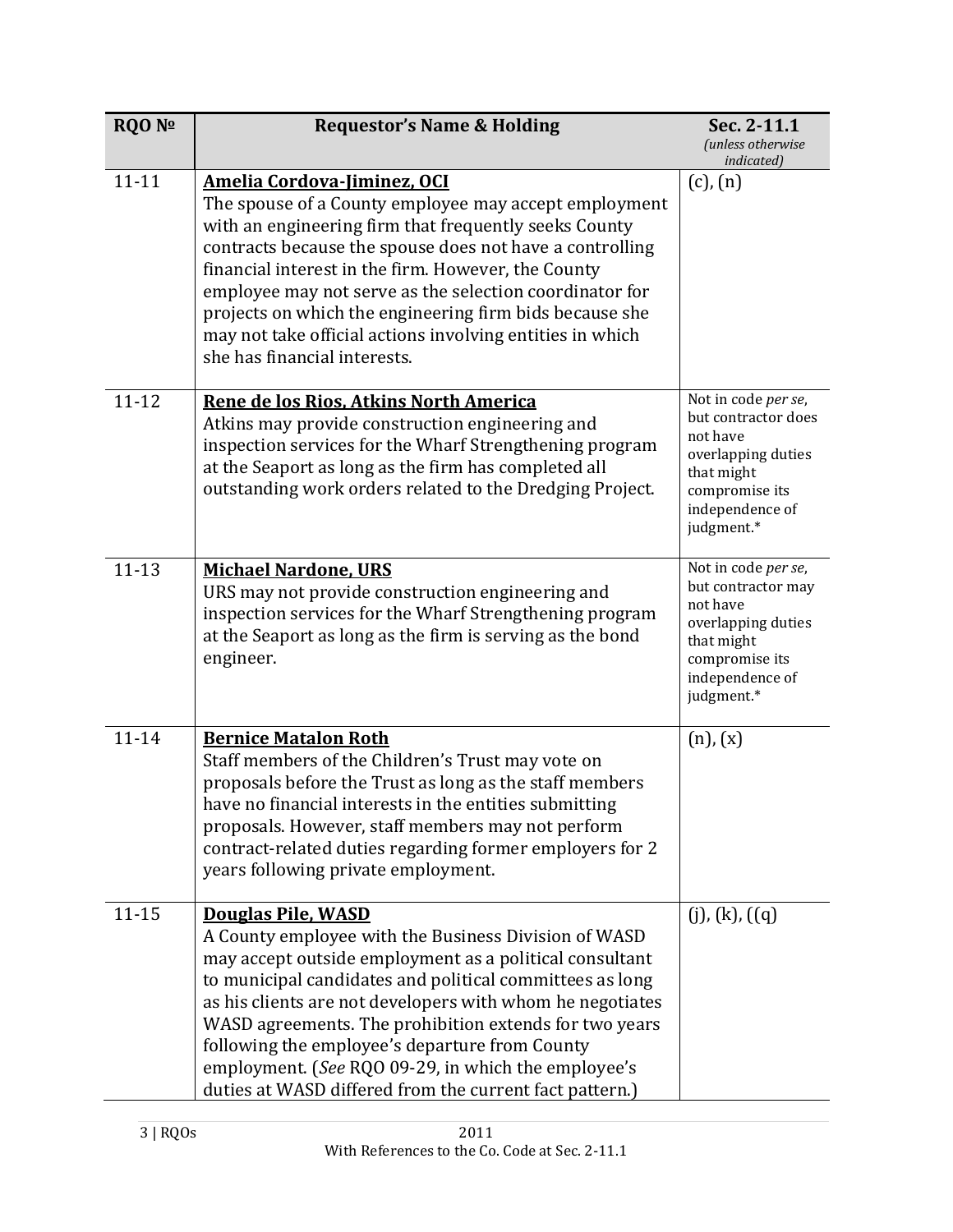| RQO Nº    | <b>Requestor's Name &amp; Holding</b>                                                                                                                                                                                                                                                                                                                                                                                                                                                               | Sec. 2-11.1<br><i>(unless otherwise</i>                                                                                                       |
|-----------|-----------------------------------------------------------------------------------------------------------------------------------------------------------------------------------------------------------------------------------------------------------------------------------------------------------------------------------------------------------------------------------------------------------------------------------------------------------------------------------------------------|-----------------------------------------------------------------------------------------------------------------------------------------------|
|           |                                                                                                                                                                                                                                                                                                                                                                                                                                                                                                     | indicated)                                                                                                                                    |
| $11 - 11$ | Amelia Cordova-Jiminez, OCI<br>The spouse of a County employee may accept employment<br>with an engineering firm that frequently seeks County<br>contracts because the spouse does not have a controlling<br>financial interest in the firm. However, the County<br>employee may not serve as the selection coordinator for<br>projects on which the engineering firm bids because she<br>may not take official actions involving entities in which<br>she has financial interests.                 | $(c)$ , $(n)$                                                                                                                                 |
| $11 - 12$ | Rene de los Rios, Atkins North America<br>Atkins may provide construction engineering and<br>inspection services for the Wharf Strengthening program<br>at the Seaport as long as the firm has completed all<br>outstanding work orders related to the Dredging Project.                                                                                                                                                                                                                            | Not in code per se,<br>but contractor does<br>not have<br>overlapping duties<br>that might<br>compromise its<br>independence of<br>judgment.* |
| $11 - 13$ | <b>Michael Nardone, URS</b><br>URS may not provide construction engineering and<br>inspection services for the Wharf Strengthening program<br>at the Seaport as long as the firm is serving as the bond<br>engineer.                                                                                                                                                                                                                                                                                | Not in code per se,<br>but contractor may<br>not have<br>overlapping duties<br>that might<br>compromise its<br>independence of<br>judgment.*  |
| $11 - 14$ | <b>Bernice Matalon Roth</b><br>Staff members of the Children's Trust may vote on<br>proposals before the Trust as long as the staff members<br>have no financial interests in the entities submitting<br>proposals. However, staff members may not perform<br>contract-related duties regarding former employers for 2<br>years following private employment.                                                                                                                                       | $(n)$ , $(x)$                                                                                                                                 |
| $11 - 15$ | <b>Douglas Pile, WASD</b><br>A County employee with the Business Division of WASD<br>may accept outside employment as a political consultant<br>to municipal candidates and political committees as long<br>as his clients are not developers with whom he negotiates<br>WASD agreements. The prohibition extends for two years<br>following the employee's departure from County<br>employment. (See RQO 09-29, in which the employee's<br>duties at WASD differed from the current fact pattern.) | $(j)$ , $(k)$ , $((q)$                                                                                                                        |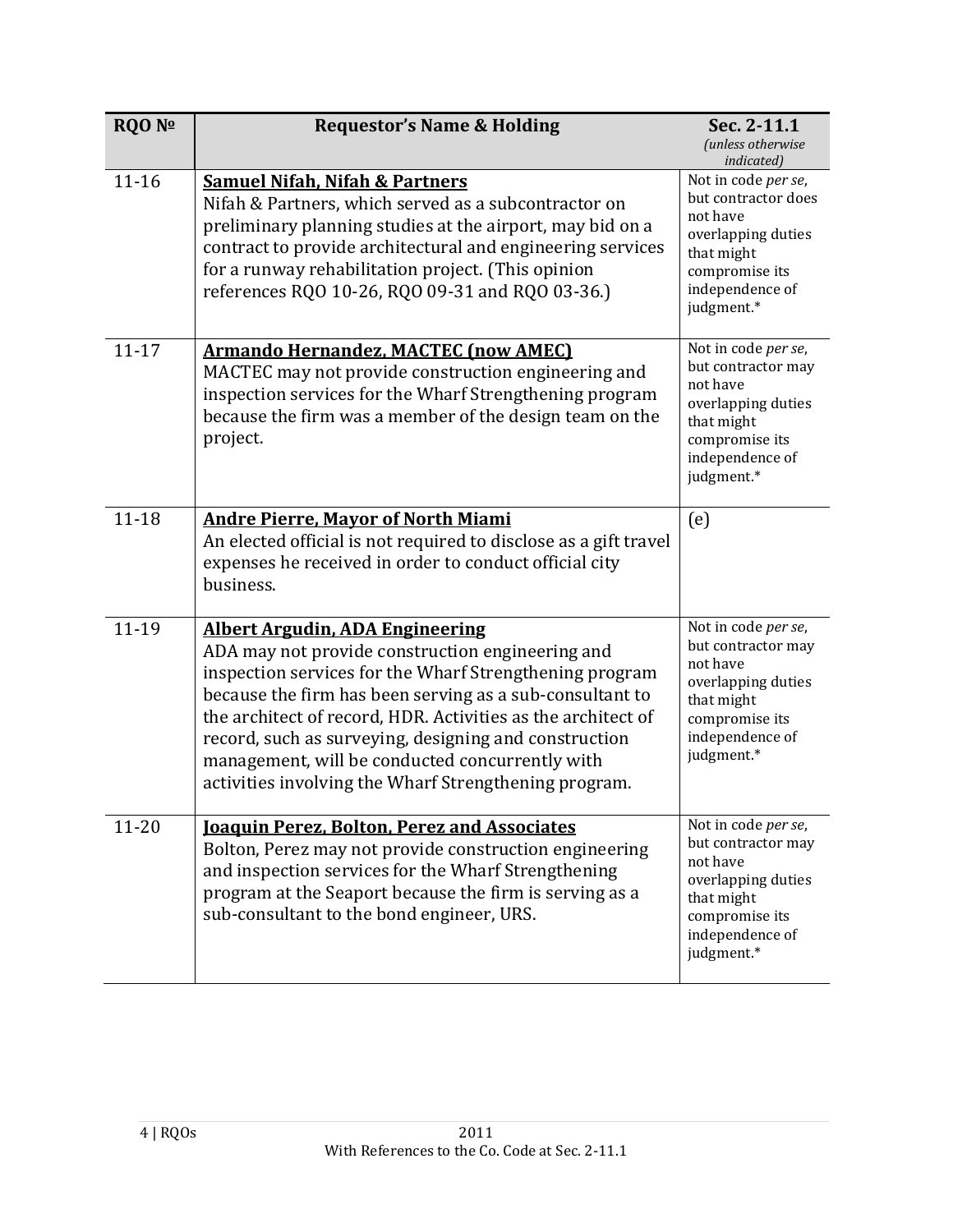| <b>RQO Nº</b> | <b>Requestor's Name &amp; Holding</b>                                                                                                                                                                                                                                                                                                                                                                                                                  | Sec. 2-11.1<br>(unless otherwise                                                                                                             |
|---------------|--------------------------------------------------------------------------------------------------------------------------------------------------------------------------------------------------------------------------------------------------------------------------------------------------------------------------------------------------------------------------------------------------------------------------------------------------------|----------------------------------------------------------------------------------------------------------------------------------------------|
|               |                                                                                                                                                                                                                                                                                                                                                                                                                                                        | indicated)                                                                                                                                   |
| $11 - 16$     | <b>Samuel Nifah, Nifah &amp; Partners</b><br>Nifah & Partners, which served as a subcontractor on<br>preliminary planning studies at the airport, may bid on a<br>contract to provide architectural and engineering services<br>for a runway rehabilitation project. (This opinion<br>references RQ0 10-26, RQ0 09-31 and RQ0 03-36.)                                                                                                                  | Not in code per se,<br>but contractor does<br>not have<br>overlapping duties<br>that might<br>compromise its<br>independence of<br>judgment* |
| $11 - 17$     | <b>Armando Hernandez, MACTEC (now AMEC)</b><br>MACTEC may not provide construction engineering and<br>inspection services for the Wharf Strengthening program<br>because the firm was a member of the design team on the<br>project.                                                                                                                                                                                                                   | Not in code per se,<br>but contractor may<br>not have<br>overlapping duties<br>that might<br>compromise its<br>independence of<br>judgment*  |
| $11 - 18$     | <b>Andre Pierre, Mayor of North Miami</b><br>An elected official is not required to disclose as a gift travel<br>expenses he received in order to conduct official city<br>business.                                                                                                                                                                                                                                                                   | (e)                                                                                                                                          |
| 11-19         | <b>Albert Argudin, ADA Engineering</b><br>ADA may not provide construction engineering and<br>inspection services for the Wharf Strengthening program<br>because the firm has been serving as a sub-consultant to<br>the architect of record, HDR. Activities as the architect of<br>record, such as surveying, designing and construction<br>management, will be conducted concurrently with<br>activities involving the Wharf Strengthening program. | Not in code per se,<br>but contractor may<br>not have<br>overlapping duties<br>that might<br>compromise its<br>independence of<br>judgment.* |
| $11 - 20$     | <b>Joaquin Perez, Bolton, Perez and Associates</b><br>Bolton, Perez may not provide construction engineering<br>and inspection services for the Wharf Strengthening<br>program at the Seaport because the firm is serving as a<br>sub-consultant to the bond engineer, URS.                                                                                                                                                                            | Not in code per se,<br>but contractor may<br>not have<br>overlapping duties<br>that might<br>compromise its<br>independence of<br>judgment.* |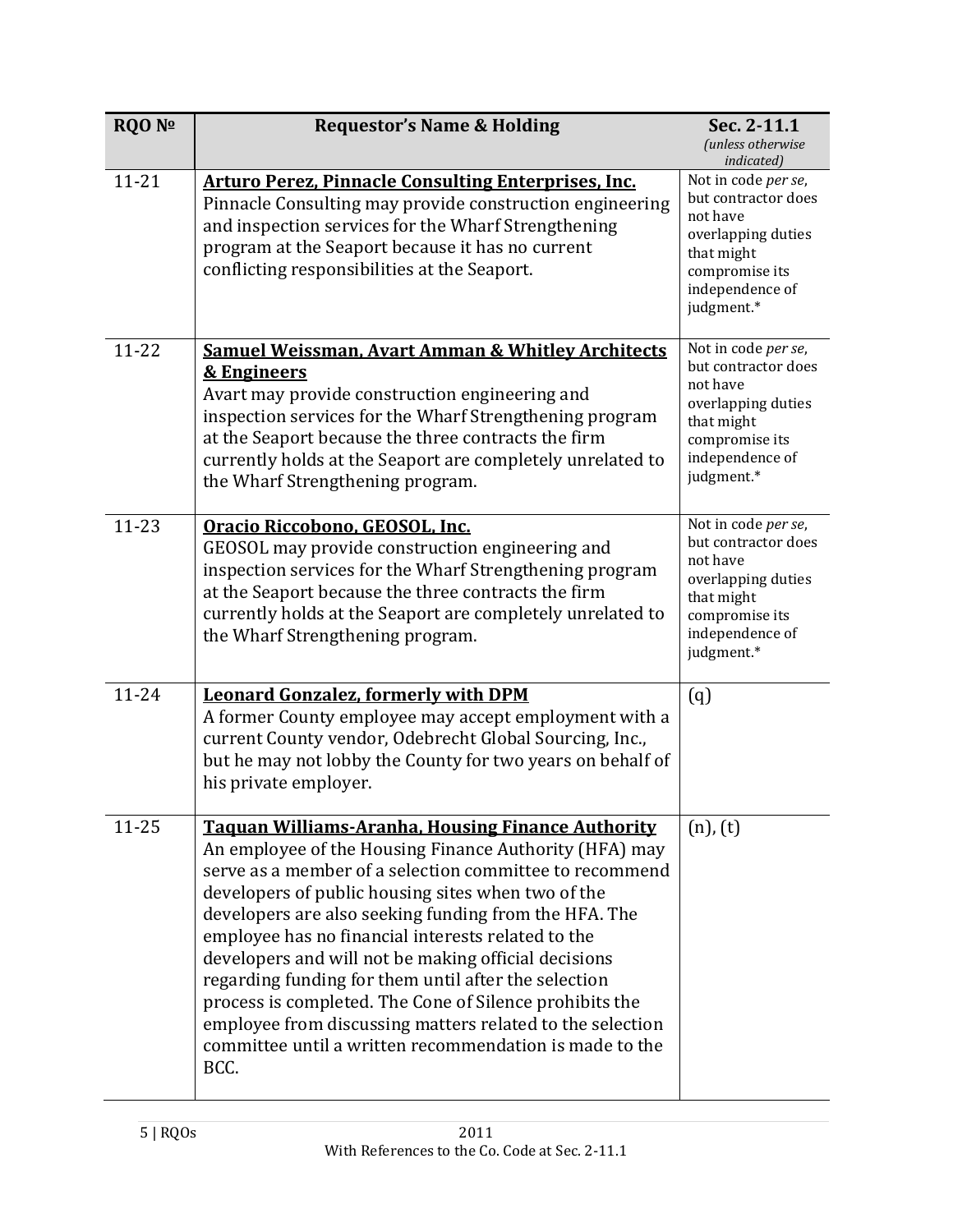| <b>RQO Nº</b> | <b>Requestor's Name &amp; Holding</b>                                                                                                                                                                                                                                                                                                                                                                                                                                                                                                                                                                                                                         | Sec. 2-11.1<br>(unless otherwise<br>indicated)                                                                                                |
|---------------|---------------------------------------------------------------------------------------------------------------------------------------------------------------------------------------------------------------------------------------------------------------------------------------------------------------------------------------------------------------------------------------------------------------------------------------------------------------------------------------------------------------------------------------------------------------------------------------------------------------------------------------------------------------|-----------------------------------------------------------------------------------------------------------------------------------------------|
| $11 - 21$     | <b>Arturo Perez, Pinnacle Consulting Enterprises, Inc.</b><br>Pinnacle Consulting may provide construction engineering<br>and inspection services for the Wharf Strengthening<br>program at the Seaport because it has no current<br>conflicting responsibilities at the Seaport.                                                                                                                                                                                                                                                                                                                                                                             | Not in code per se,<br>but contractor does<br>not have<br>overlapping duties<br>that might<br>compromise its<br>independence of<br>judgment.* |
| $11 - 22$     | <b>Samuel Weissman, Avart Amman &amp; Whitley Architects</b><br><b>&amp; Engineers</b><br>Avart may provide construction engineering and<br>inspection services for the Wharf Strengthening program<br>at the Seaport because the three contracts the firm<br>currently holds at the Seaport are completely unrelated to<br>the Wharf Strengthening program.                                                                                                                                                                                                                                                                                                  | Not in code per se,<br>but contractor does<br>not have<br>overlapping duties<br>that might<br>compromise its<br>independence of<br>judgment.* |
| $11 - 23$     | Oracio Riccobono, GEOSOL, Inc.<br>GEOSOL may provide construction engineering and<br>inspection services for the Wharf Strengthening program<br>at the Seaport because the three contracts the firm<br>currently holds at the Seaport are completely unrelated to<br>the Wharf Strengthening program.                                                                                                                                                                                                                                                                                                                                                         | Not in code per se,<br>but contractor does<br>not have<br>overlapping duties<br>that might<br>compromise its<br>independence of<br>judgment.* |
| 11-24         | <b>Leonard Gonzalez, formerly with DPM</b><br>A former County employee may accept employment with a<br>current County vendor, Odebrecht Global Sourcing, Inc.,<br>but he may not lobby the County for two years on behalf of<br>his private employer.                                                                                                                                                                                                                                                                                                                                                                                                         | (q)                                                                                                                                           |
| $11 - 25$     | <b>Taquan Williams-Aranha, Housing Finance Authority</b><br>An employee of the Housing Finance Authority (HFA) may<br>serve as a member of a selection committee to recommend<br>developers of public housing sites when two of the<br>developers are also seeking funding from the HFA. The<br>employee has no financial interests related to the<br>developers and will not be making official decisions<br>regarding funding for them until after the selection<br>process is completed. The Cone of Silence prohibits the<br>employee from discussing matters related to the selection<br>committee until a written recommendation is made to the<br>BCC. | $(n)$ , $(t)$                                                                                                                                 |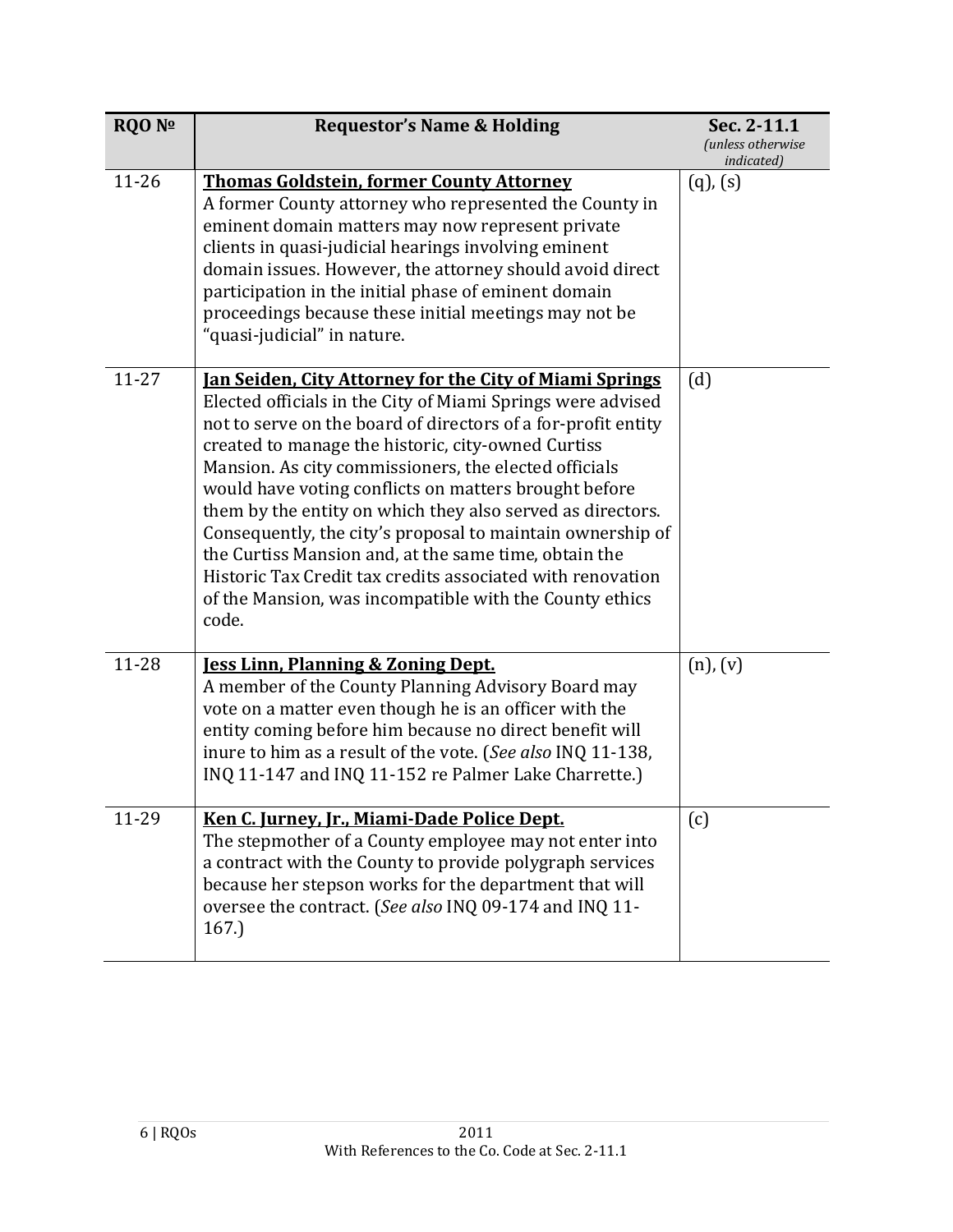| <b>RQO Nº</b> | <b>Requestor's Name &amp; Holding</b>                                                                                                                                                                                                                                                                                                                                                                                                                                                                                                                                                                                                                                                         | Sec. 2-11.1<br><i>(unless otherwise</i><br><i>indicated</i> ) |
|---------------|-----------------------------------------------------------------------------------------------------------------------------------------------------------------------------------------------------------------------------------------------------------------------------------------------------------------------------------------------------------------------------------------------------------------------------------------------------------------------------------------------------------------------------------------------------------------------------------------------------------------------------------------------------------------------------------------------|---------------------------------------------------------------|
| $11 - 26$     | <b>Thomas Goldstein, former County Attorney</b><br>A former County attorney who represented the County in<br>eminent domain matters may now represent private<br>clients in quasi-judicial hearings involving eminent<br>domain issues. However, the attorney should avoid direct<br>participation in the initial phase of eminent domain<br>proceedings because these initial meetings may not be<br>'quasi-judicial" in nature.                                                                                                                                                                                                                                                             | $(q)$ , $(s)$                                                 |
| $11 - 27$     | <b>Jan Seiden, City Attorney for the City of Miami Springs</b><br>Elected officials in the City of Miami Springs were advised<br>not to serve on the board of directors of a for-profit entity<br>created to manage the historic, city-owned Curtiss<br>Mansion. As city commissioners, the elected officials<br>would have voting conflicts on matters brought before<br>them by the entity on which they also served as directors.<br>Consequently, the city's proposal to maintain ownership of<br>the Curtiss Mansion and, at the same time, obtain the<br>Historic Tax Credit tax credits associated with renovation<br>of the Mansion, was incompatible with the County ethics<br>code. | (d)                                                           |
| 11-28         | <b>Jess Linn, Planning &amp; Zoning Dept.</b><br>A member of the County Planning Advisory Board may<br>vote on a matter even though he is an officer with the<br>entity coming before him because no direct benefit will<br>inure to him as a result of the vote. (See also INQ 11-138,<br>INQ 11-147 and INQ 11-152 re Palmer Lake Charrette.)                                                                                                                                                                                                                                                                                                                                               | $(n)$ , $(v)$                                                 |
| 11-29         | Ken C. Jurney, Jr., Miami-Dade Police Dept.<br>The stepmother of a County employee may not enter into<br>a contract with the County to provide polygraph services<br>because her stepson works for the department that will<br>oversee the contract. (See also INQ 09-174 and INQ 11-<br>167.                                                                                                                                                                                                                                                                                                                                                                                                 | (c)                                                           |